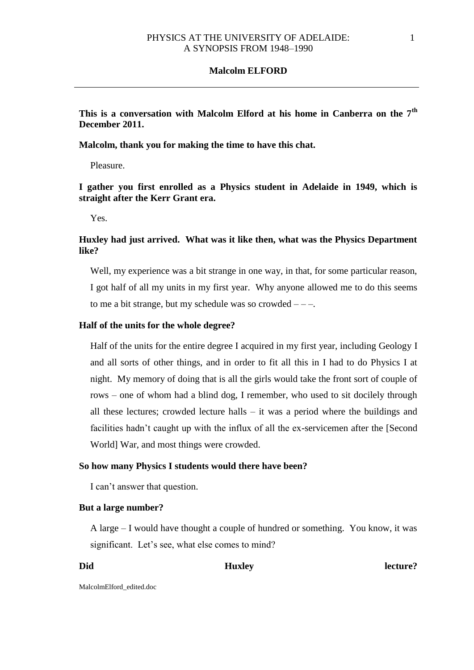**This is a conversation with Malcolm Elford at his home in Canberra on the 7th December 2011.** 

**Malcolm, thank you for making the time to have this chat.**

Pleasure.

**I gather you first enrolled as a Physics student in Adelaide in 1949, which is straight after the Kerr Grant era.**

Yes.

# **Huxley had just arrived. What was it like then, what was the Physics Department like?**

Well, my experience was a bit strange in one way, in that, for some particular reason, I got half of all my units in my first year. Why anyone allowed me to do this seems to me a bit strange, but my schedule was so crowded  $---$ .

### **Half of the units for the whole degree?**

Half of the units for the entire degree I acquired in my first year, including Geology I and all sorts of other things, and in order to fit all this in I had to do Physics I at night. My memory of doing that is all the girls would take the front sort of couple of rows – one of whom had a blind dog, I remember, who used to sit docilely through all these lectures; crowded lecture halls – it was a period where the buildings and facilities hadn't caught up with the influx of all the ex-servicemen after the [Second World] War, and most things were crowded.

### **So how many Physics I students would there have been?**

I can't answer that question.

#### **But a large number?**

A large – I would have thought a couple of hundred or something. You know, it was significant. Let's see, what else comes to mind?

Did **Huxley** Huxley **extends to the U** 

MalcolmElford\_edited.doc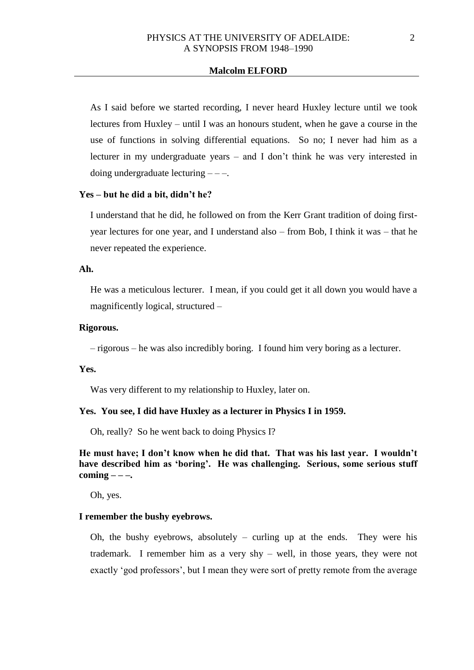As I said before we started recording, I never heard Huxley lecture until we took lectures from Huxley – until I was an honours student, when he gave a course in the use of functions in solving differential equations. So no; I never had him as a lecturer in my undergraduate years – and I don't think he was very interested in doing undergraduate lecturing  $---$ .

### **Yes – but he did a bit, didn't he?**

I understand that he did, he followed on from the Kerr Grant tradition of doing firstyear lectures for one year, and I understand also – from Bob, I think it was – that he never repeated the experience.

### **Ah.**

He was a meticulous lecturer. I mean, if you could get it all down you would have a magnificently logical, structured –

### **Rigorous.**

– rigorous – he was also incredibly boring. I found him very boring as a lecturer.

#### **Yes.**

Was very different to my relationship to Huxley, later on.

#### **Yes. You see, I did have Huxley as a lecturer in Physics I in 1959.**

Oh, really? So he went back to doing Physics I?

# **He must have; I don't know when he did that. That was his last year. I wouldn't have described him as 'boring'. He was challenging. Serious, some serious stuff coming – – –.**

Oh, yes.

#### **I remember the bushy eyebrows.**

Oh, the bushy eyebrows, absolutely – curling up at the ends. They were his trademark. I remember him as a very shy – well, in those years, they were not exactly 'god professors', but I mean they were sort of pretty remote from the average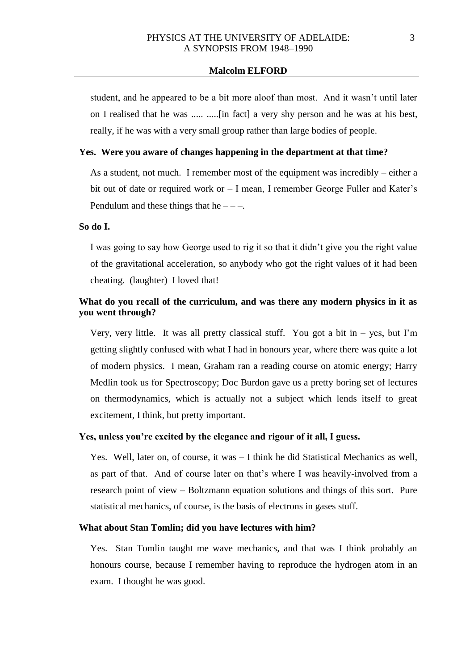student, and he appeared to be a bit more aloof than most. And it wasn't until later on I realised that he was ..... .....[in fact] a very shy person and he was at his best, really, if he was with a very small group rather than large bodies of people.

# **Yes. Were you aware of changes happening in the department at that time?**

As a student, not much. I remember most of the equipment was incredibly – either a bit out of date or required work or – I mean, I remember George Fuller and Kater's Pendulum and these things that he  $---$ .

### **So do I.**

I was going to say how George used to rig it so that it didn't give you the right value of the gravitational acceleration, so anybody who got the right values of it had been cheating. (laughter) I loved that!

# **What do you recall of the curriculum, and was there any modern physics in it as you went through?**

Very, very little. It was all pretty classical stuff. You got a bit in  $-$  yes, but I'm getting slightly confused with what I had in honours year, where there was quite a lot of modern physics. I mean, Graham ran a reading course on atomic energy; Harry Medlin took us for Spectroscopy; Doc Burdon gave us a pretty boring set of lectures on thermodynamics, which is actually not a subject which lends itself to great excitement, I think, but pretty important.

### **Yes, unless you're excited by the elegance and rigour of it all, I guess.**

Yes. Well, later on, of course, it was – I think he did Statistical Mechanics as well, as part of that. And of course later on that's where I was heavily-involved from a research point of view – Boltzmann equation solutions and things of this sort. Pure statistical mechanics, of course, is the basis of electrons in gases stuff.

# **What about Stan Tomlin; did you have lectures with him?**

Yes. Stan Tomlin taught me wave mechanics, and that was I think probably an honours course, because I remember having to reproduce the hydrogen atom in an exam. I thought he was good.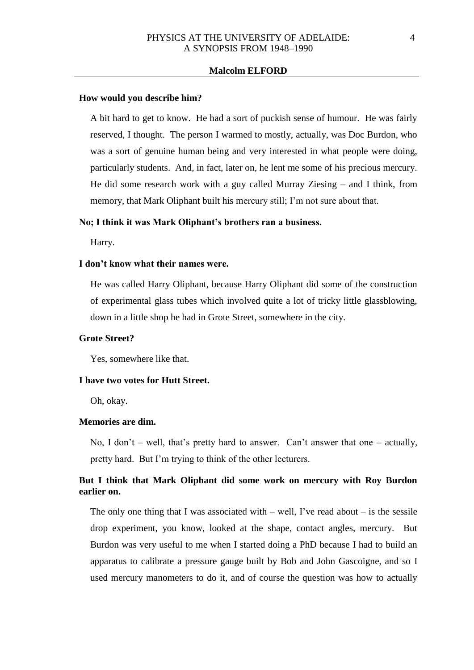#### **How would you describe him?**

A bit hard to get to know. He had a sort of puckish sense of humour. He was fairly reserved, I thought. The person I warmed to mostly, actually, was Doc Burdon, who was a sort of genuine human being and very interested in what people were doing, particularly students. And, in fact, later on, he lent me some of his precious mercury. He did some research work with a guy called Murray Ziesing – and I think, from memory, that Mark Oliphant built his mercury still; I'm not sure about that.

# **No; I think it was Mark Oliphant's brothers ran a business.**

Harry.

#### **I don't know what their names were.**

He was called Harry Oliphant, because Harry Oliphant did some of the construction of experimental glass tubes which involved quite a lot of tricky little glassblowing, down in a little shop he had in Grote Street, somewhere in the city.

### **Grote Street?**

Yes, somewhere like that.

# **I have two votes for Hutt Street.**

Oh, okay.

# **Memories are dim.**

No, I don't – well, that's pretty hard to answer. Can't answer that one – actually, pretty hard. But I'm trying to think of the other lecturers.

# **But I think that Mark Oliphant did some work on mercury with Roy Burdon earlier on.**

The only one thing that I was associated with  $-$  well, I've read about  $-$  is the sessile drop experiment, you know, looked at the shape, contact angles, mercury. But Burdon was very useful to me when I started doing a PhD because I had to build an apparatus to calibrate a pressure gauge built by Bob and John Gascoigne, and so I used mercury manometers to do it, and of course the question was how to actually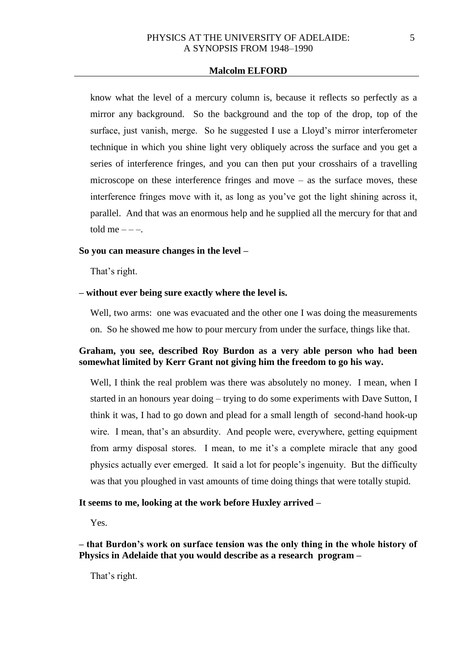know what the level of a mercury column is, because it reflects so perfectly as a mirror any background. So the background and the top of the drop, top of the surface, just vanish, merge. So he suggested I use a Lloyd's mirror interferometer technique in which you shine light very obliquely across the surface and you get a series of interference fringes, and you can then put your crosshairs of a travelling microscope on these interference fringes and move – as the surface moves, these interference fringes move with it, as long as you've got the light shining across it, parallel. And that was an enormous help and he supplied all the mercury for that and told me  $---$ .

### **So you can measure changes in the level –**

That's right.

### **– without ever being sure exactly where the level is.**

Well, two arms: one was evacuated and the other one I was doing the measurements on. So he showed me how to pour mercury from under the surface, things like that.

# **Graham, you see, described Roy Burdon as a very able person who had been somewhat limited by Kerr Grant not giving him the freedom to go his way.**

Well, I think the real problem was there was absolutely no money. I mean, when I started in an honours year doing – trying to do some experiments with Dave Sutton, I think it was, I had to go down and plead for a small length of second-hand hook-up wire. I mean, that's an absurdity. And people were, everywhere, getting equipment from army disposal stores. I mean, to me it's a complete miracle that any good physics actually ever emerged. It said a lot for people's ingenuity. But the difficulty was that you ploughed in vast amounts of time doing things that were totally stupid.

### **It seems to me, looking at the work before Huxley arrived –**

Yes.

**– that Burdon's work on surface tension was the only thing in the whole history of Physics in Adelaide that you would describe as a research program –**

That's right.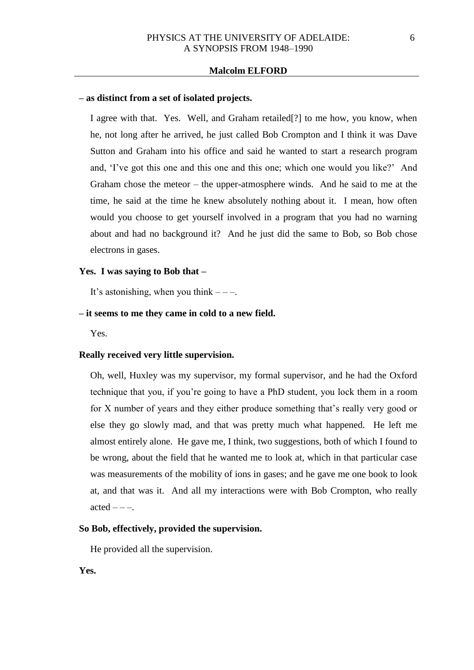### **– as distinct from a set of isolated projects.**

I agree with that. Yes. Well, and Graham retailed[?] to me how, you know, when he, not long after he arrived, he just called Bob Crompton and I think it was Dave Sutton and Graham into his office and said he wanted to start a research program and, 'I've got this one and this one and this one; which one would you like?' And Graham chose the meteor – the upper-atmosphere winds. And he said to me at the time, he said at the time he knew absolutely nothing about it. I mean, how often would you choose to get yourself involved in a program that you had no warning about and had no background it? And he just did the same to Bob, so Bob chose electrons in gases.

#### **Yes. I was saying to Bob that –**

It's astonishing, when you think  $---$ .

# **– it seems to me they came in cold to a new field.**

Yes.

### **Really received very little supervision.**

Oh, well, Huxley was my supervisor, my formal supervisor, and he had the Oxford technique that you, if you're going to have a PhD student, you lock them in a room for X number of years and they either produce something that's really very good or else they go slowly mad, and that was pretty much what happened. He left me almost entirely alone. He gave me, I think, two suggestions, both of which I found to be wrong, about the field that he wanted me to look at, which in that particular case was measurements of the mobility of ions in gases; and he gave me one book to look at, and that was it. And all my interactions were with Bob Crompton, who really  $\text{acted}$  – – –.

# **So Bob, effectively, provided the supervision.**

He provided all the supervision.

**Yes.**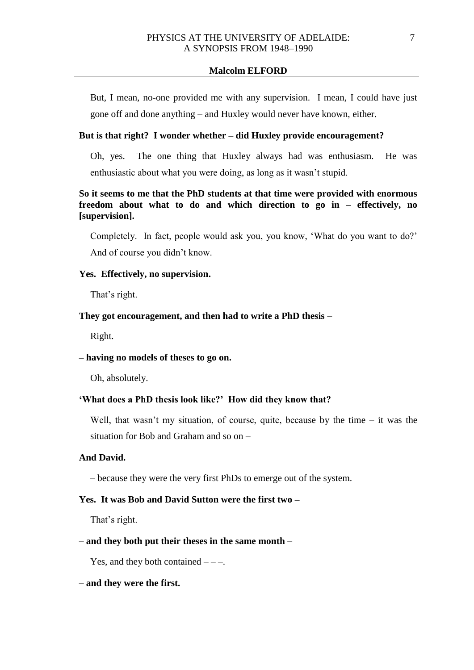But, I mean, no-one provided me with any supervision. I mean, I could have just gone off and done anything – and Huxley would never have known, either.

# **But is that right? I wonder whether – did Huxley provide encouragement?**

Oh, yes. The one thing that Huxley always had was enthusiasm. He was enthusiastic about what you were doing, as long as it wasn't stupid.

# **So it seems to me that the PhD students at that time were provided with enormous freedom about what to do and which direction to go in – effectively, no [supervision].**

Completely. In fact, people would ask you, you know, 'What do you want to do?' And of course you didn't know.

#### **Yes. Effectively, no supervision.**

That's right.

# **They got encouragement, and then had to write a PhD thesis –**

Right.

# **– having no models of theses to go on.**

Oh, absolutely.

### **'What does a PhD thesis look like?' How did they know that?**

Well, that wasn't my situation, of course, quite, because by the time  $-$  it was the situation for Bob and Graham and so on –

# **And David.**

– because they were the very first PhDs to emerge out of the system.

### **Yes. It was Bob and David Sutton were the first two –**

That's right.

# **– and they both put their theses in the same month –**

Yes, and they both contained  $---$ .

### **– and they were the first.**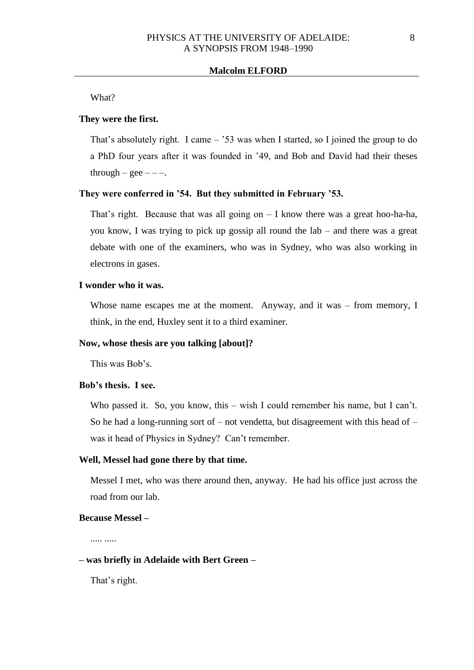What?

# **They were the first.**

That's absolutely right. I came – '53 was when I started, so I joined the group to do a PhD four years after it was founded in '49, and Bob and David had their theses through – gee  $---$ .

#### **They were conferred in '54. But they submitted in February '53.**

That's right. Because that was all going on  $-$  I know there was a great hoo-ha-ha, you know, I was trying to pick up gossip all round the lab – and there was a great debate with one of the examiners, who was in Sydney, who was also working in electrons in gases.

### **I wonder who it was.**

Whose name escapes me at the moment. Anyway, and it was – from memory, I think, in the end, Huxley sent it to a third examiner.

#### **Now, whose thesis are you talking [about]?**

This was Bob's.

### **Bob's thesis. I see.**

Who passed it. So, you know, this – wish I could remember his name, but I can't. So he had a long-running sort of  $-$  not vendetta, but disagreement with this head of  $$ was it head of Physics in Sydney? Can't remember.

# **Well, Messel had gone there by that time.**

Messel I met, who was there around then, anyway. He had his office just across the road from our lab.

### **Because Messel –**

..... .....

# **– was briefly in Adelaide with Bert Green –**

That's right.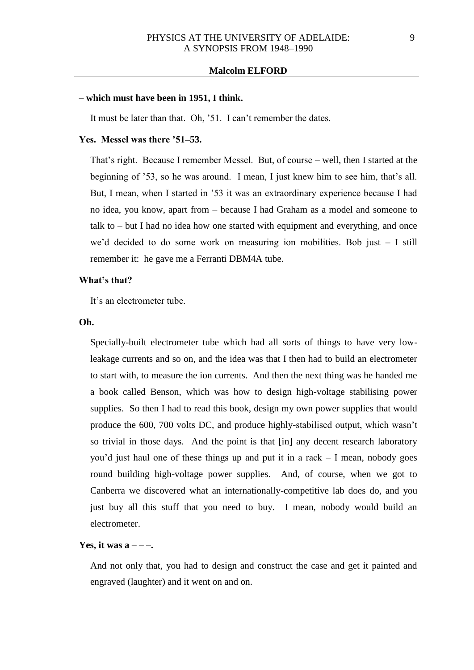# **– which must have been in 1951, I think.**

It must be later than that. Oh, '51. I can't remember the dates.

### **Yes. Messel was there '51–53.**

That's right. Because I remember Messel. But, of course – well, then I started at the beginning of '53, so he was around. I mean, I just knew him to see him, that's all. But, I mean, when I started in '53 it was an extraordinary experience because I had no idea, you know, apart from – because I had Graham as a model and someone to talk to – but I had no idea how one started with equipment and everything, and once we'd decided to do some work on measuring ion mobilities. Bob just – I still remember it: he gave me a Ferranti DBM4A tube.

### **What's that?**

It's an electrometer tube.

### **Oh.**

Specially-built electrometer tube which had all sorts of things to have very lowleakage currents and so on, and the idea was that I then had to build an electrometer to start with, to measure the ion currents. And then the next thing was he handed me a book called Benson, which was how to design high-voltage stabilising power supplies. So then I had to read this book, design my own power supplies that would produce the 600, 700 volts DC, and produce highly-stabilised output, which wasn't so trivial in those days. And the point is that [in] any decent research laboratory you'd just haul one of these things up and put it in a rack – I mean, nobody goes round building high-voltage power supplies. And, of course, when we got to Canberra we discovered what an internationally-competitive lab does do, and you just buy all this stuff that you need to buy. I mean, nobody would build an electrometer.

### **Yes, it was a**  $-$  **– –.**

And not only that, you had to design and construct the case and get it painted and engraved (laughter) and it went on and on.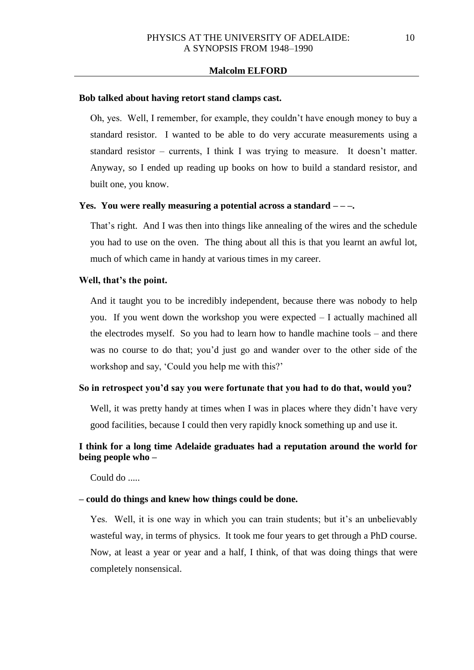#### **Bob talked about having retort stand clamps cast.**

Oh, yes. Well, I remember, for example, they couldn't have enough money to buy a standard resistor. I wanted to be able to do very accurate measurements using a standard resistor – currents, I think I was trying to measure. It doesn't matter. Anyway, so I ended up reading up books on how to build a standard resistor, and built one, you know.

### **Yes. You were really measuring a potential across a standard – – –.**

That's right. And I was then into things like annealing of the wires and the schedule you had to use on the oven. The thing about all this is that you learnt an awful lot, much of which came in handy at various times in my career.

### **Well, that's the point.**

And it taught you to be incredibly independent, because there was nobody to help you. If you went down the workshop you were expected – I actually machined all the electrodes myself. So you had to learn how to handle machine tools – and there was no course to do that; you'd just go and wander over to the other side of the workshop and say, 'Could you help me with this?'

# **So in retrospect you'd say you were fortunate that you had to do that, would you?**

Well, it was pretty handy at times when I was in places where they didn't have very good facilities, because I could then very rapidly knock something up and use it.

# **I think for a long time Adelaide graduates had a reputation around the world for being people who –**

Could do .....

#### **– could do things and knew how things could be done.**

Yes. Well, it is one way in which you can train students; but it's an unbelievably wasteful way, in terms of physics. It took me four years to get through a PhD course. Now, at least a year or year and a half, I think, of that was doing things that were completely nonsensical.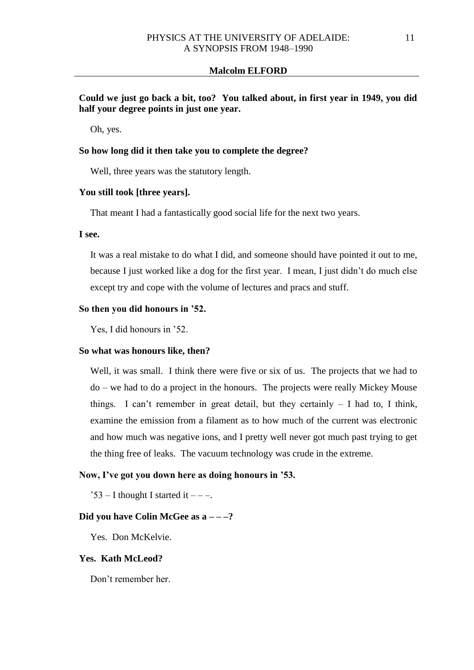**Could we just go back a bit, too? You talked about, in first year in 1949, you did half your degree points in just one year.**

Oh, yes.

# **So how long did it then take you to complete the degree?**

Well, three years was the statutory length.

### **You still took [three years].**

That meant I had a fantastically good social life for the next two years.

### **I see.**

It was a real mistake to do what I did, and someone should have pointed it out to me, because I just worked like a dog for the first year. I mean, I just didn't do much else except try and cope with the volume of lectures and pracs and stuff.

# **So then you did honours in '52.**

Yes, I did honours in '52.

#### **So what was honours like, then?**

Well, it was small. I think there were five or six of us. The projects that we had to do – we had to do a project in the honours. The projects were really Mickey Mouse things. I can't remember in great detail, but they certainly – I had to, I think, examine the emission from a filament as to how much of the current was electronic and how much was negative ions, and I pretty well never got much past trying to get the thing free of leaks. The vacuum technology was crude in the extreme.

### **Now, I've got you down here as doing honours in '53.**

 $3 - I$  thought I started it  $---$ .

#### **Did you have Colin McGee as a – – –?**

Yes. Don McKelvie.

#### **Yes. Kath McLeod?**

Don't remember her.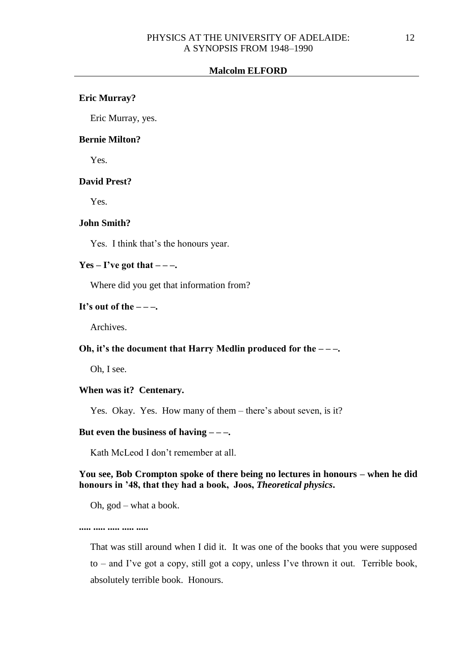### **Eric Murray?**

Eric Murray, yes.

# **Bernie Milton?**

Yes.

### **David Prest?**

Yes.

# **John Smith?**

Yes. I think that's the honours year.

# $Yes - I've got that ---$

Where did you get that information from?

### It's out of the  $-\frac{1}{2}$ .

Archives.

# **Oh, it's the document that Harry Medlin produced for the – – –.**

Oh, I see.

### **When was it? Centenary.**

Yes. Okay. Yes. How many of them – there's about seven, is it?

# **But even the business of having – – –.**

Kath McLeod I don't remember at all.

# **You see, Bob Crompton spoke of there being no lectures in honours – when he did honours in '48, that they had a book, Joos,** *Theoretical physics***.**

Oh, god – what a book.

**..... ..... ..... ..... .....**

That was still around when I did it. It was one of the books that you were supposed to – and I've got a copy, still got a copy, unless I've thrown it out. Terrible book, absolutely terrible book. Honours.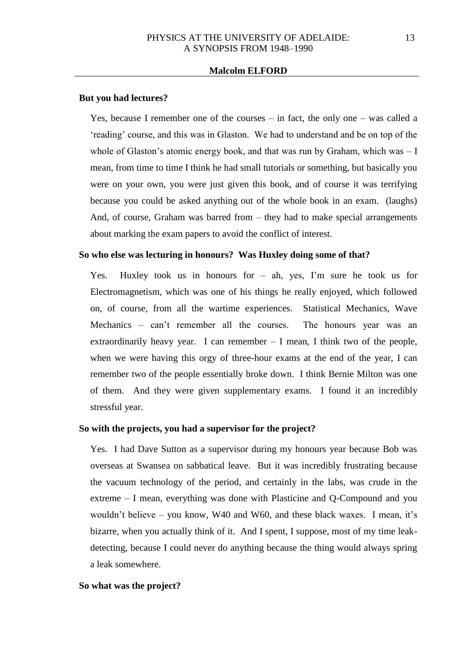#### **But you had lectures?**

Yes, because I remember one of the courses – in fact, the only one – was called a 'reading' course, and this was in Glaston. We had to understand and be on top of the whole of Glaston's atomic energy book, and that was run by Graham, which was  $-1$ mean, from time to time I think he had small tutorials or something, but basically you were on your own, you were just given this book, and of course it was terrifying because you could be asked anything out of the whole book in an exam. (laughs) And, of course, Graham was barred from – they had to make special arrangements about marking the exam papers to avoid the conflict of interest.

#### **So who else was lecturing in honours? Was Huxley doing some of that?**

Yes. Huxley took us in honours for – ah, yes, I'm sure he took us for Electromagnetism, which was one of his things he really enjoyed, which followed on, of course, from all the wartime experiences. Statistical Mechanics, Wave Mechanics – can't remember all the courses. The honours year was an extraordinarily heavy year. I can remember – I mean, I think two of the people, when we were having this orgy of three-hour exams at the end of the year, I can remember two of the people essentially broke down. I think Bernie Milton was one of them. And they were given supplementary exams. I found it an incredibly stressful year.

#### **So with the projects, you had a supervisor for the project?**

Yes. I had Dave Sutton as a supervisor during my honours year because Bob was overseas at Swansea on sabbatical leave. But it was incredibly frustrating because the vacuum technology of the period, and certainly in the labs, was crude in the extreme – I mean, everything was done with Plasticine and Q-Compound and you wouldn't believe – you know, W40 and W60, and these black waxes. I mean, it's bizarre, when you actually think of it. And I spent, I suppose, most of my time leakdetecting, because I could never do anything because the thing would always spring a leak somewhere.

#### **So what was the project?**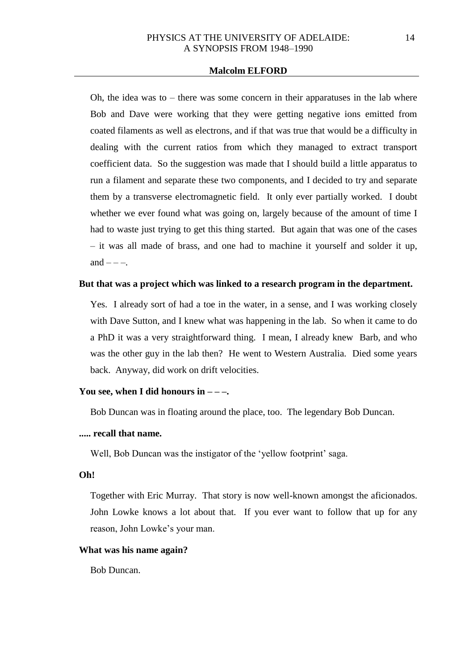Oh, the idea was to – there was some concern in their apparatuses in the lab where Bob and Dave were working that they were getting negative ions emitted from coated filaments as well as electrons, and if that was true that would be a difficulty in dealing with the current ratios from which they managed to extract transport coefficient data. So the suggestion was made that I should build a little apparatus to run a filament and separate these two components, and I decided to try and separate them by a transverse electromagnetic field. It only ever partially worked. I doubt whether we ever found what was going on, largely because of the amount of time I had to waste just trying to get this thing started. But again that was one of the cases – it was all made of brass, and one had to machine it yourself and solder it up, and  $---$ .

# **But that was a project which was linked to a research program in the department.**

Yes. I already sort of had a toe in the water, in a sense, and I was working closely with Dave Sutton, and I knew what was happening in the lab. So when it came to do a PhD it was a very straightforward thing. I mean, I already knew Barb, and who was the other guy in the lab then? He went to Western Australia. Died some years back. Anyway, did work on drift velocities.

# You see, when I did honours in  $---$

Bob Duncan was in floating around the place, too. The legendary Bob Duncan.

# **..... recall that name.**

Well, Bob Duncan was the instigator of the 'yellow footprint' saga.

### **Oh!**

Together with Eric Murray. That story is now well-known amongst the aficionados. John Lowke knows a lot about that. If you ever want to follow that up for any reason, John Lowke's your man.

#### **What was his name again?**

Bob Duncan.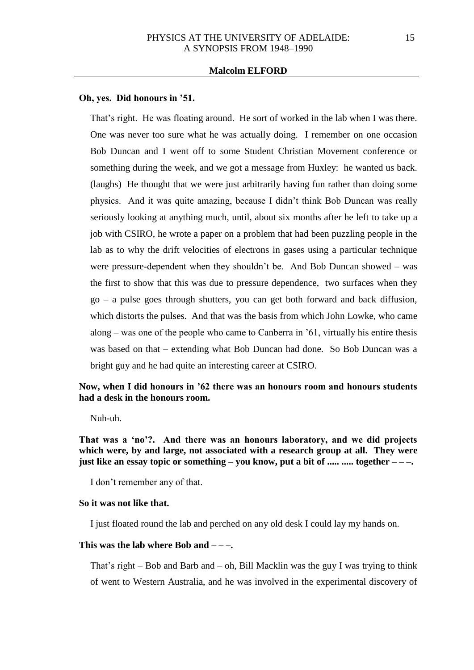#### **Oh, yes. Did honours in '51.**

That's right. He was floating around. He sort of worked in the lab when I was there. One was never too sure what he was actually doing. I remember on one occasion Bob Duncan and I went off to some Student Christian Movement conference or something during the week, and we got a message from Huxley: he wanted us back. (laughs) He thought that we were just arbitrarily having fun rather than doing some physics. And it was quite amazing, because I didn't think Bob Duncan was really seriously looking at anything much, until, about six months after he left to take up a job with CSIRO, he wrote a paper on a problem that had been puzzling people in the lab as to why the drift velocities of electrons in gases using a particular technique were pressure-dependent when they shouldn't be. And Bob Duncan showed – was the first to show that this was due to pressure dependence, two surfaces when they go – a pulse goes through shutters, you can get both forward and back diffusion, which distorts the pulses. And that was the basis from which John Lowke, who came along – was one of the people who came to Canberra in '61, virtually his entire thesis was based on that – extending what Bob Duncan had done. So Bob Duncan was a bright guy and he had quite an interesting career at CSIRO.

# **Now, when I did honours in '62 there was an honours room and honours students had a desk in the honours room.**

Nuh-uh.

**That was a 'no'?. And there was an honours laboratory, and we did projects which were, by and large, not associated with a research group at all. They were just like an essay topic or something – you know, put a bit of ..... ..... together – – –.**

I don't remember any of that.

# **So it was not like that.**

I just floated round the lab and perched on any old desk I could lay my hands on.

#### **This was the lab where Bob and – – –.**

That's right – Bob and Barb and – oh, Bill Macklin was the guy I was trying to think of went to Western Australia, and he was involved in the experimental discovery of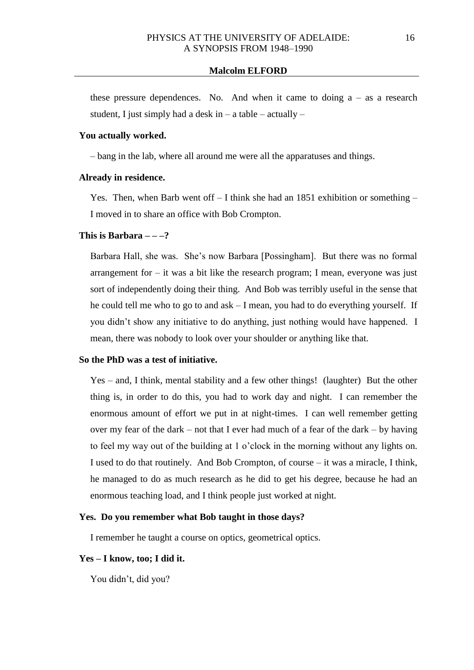these pressure dependences. No. And when it came to doing  $a - as a research$ student, I just simply had a desk in  $-$  a table  $-$  actually  $-$ 

# **You actually worked.**

– bang in the lab, where all around me were all the apparatuses and things.

#### **Already in residence.**

Yes. Then, when Barb went of  $-1$  think she had an 1851 exhibition or something  $-$ I moved in to share an office with Bob Crompton.

### **This is Barbara – – –?**

Barbara Hall, she was. She's now Barbara [Possingham]. But there was no formal arrangement for – it was a bit like the research program; I mean, everyone was just sort of independently doing their thing. And Bob was terribly useful in the sense that he could tell me who to go to and ask – I mean, you had to do everything yourself. If you didn't show any initiative to do anything, just nothing would have happened. I mean, there was nobody to look over your shoulder or anything like that.

#### **So the PhD was a test of initiative.**

Yes – and, I think, mental stability and a few other things! (laughter) But the other thing is, in order to do this, you had to work day and night. I can remember the enormous amount of effort we put in at night-times. I can well remember getting over my fear of the dark – not that I ever had much of a fear of the dark – by having to feel my way out of the building at 1 o'clock in the morning without any lights on. I used to do that routinely. And Bob Crompton, of course – it was a miracle, I think, he managed to do as much research as he did to get his degree, because he had an enormous teaching load, and I think people just worked at night.

#### **Yes. Do you remember what Bob taught in those days?**

I remember he taught a course on optics, geometrical optics.

#### **Yes – I know, too; I did it.**

You didn't, did you?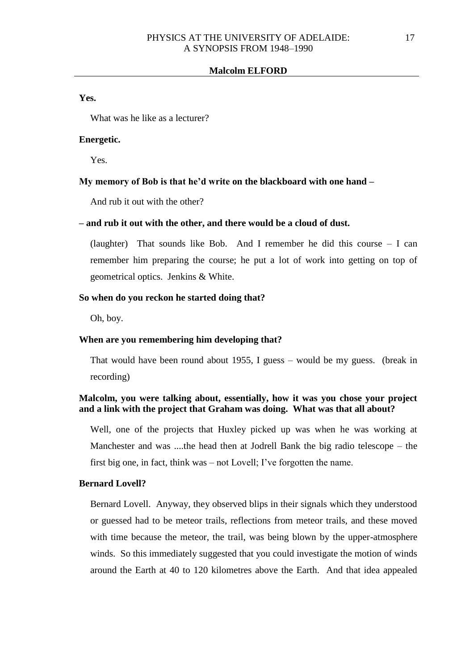**Yes.**

What was he like as a lecturer?

# **Energetic.**

Yes.

### **My memory of Bob is that he'd write on the blackboard with one hand –**

And rub it out with the other?

#### **– and rub it out with the other, and there would be a cloud of dust.**

(laughter) That sounds like Bob. And I remember he did this course – I can remember him preparing the course; he put a lot of work into getting on top of geometrical optics. Jenkins & White.

### **So when do you reckon he started doing that?**

Oh, boy.

### **When are you remembering him developing that?**

That would have been round about 1955, I guess – would be my guess. (break in recording)

# **Malcolm, you were talking about, essentially, how it was you chose your project and a link with the project that Graham was doing. What was that all about?**

Well, one of the projects that Huxley picked up was when he was working at Manchester and was ....the head then at Jodrell Bank the big radio telescope – the first big one, in fact, think was – not Lovell; I've forgotten the name.

# **Bernard Lovell?**

Bernard Lovell. Anyway, they observed blips in their signals which they understood or guessed had to be meteor trails, reflections from meteor trails, and these moved with time because the meteor, the trail, was being blown by the upper-atmosphere winds. So this immediately suggested that you could investigate the motion of winds around the Earth at 40 to 120 kilometres above the Earth. And that idea appealed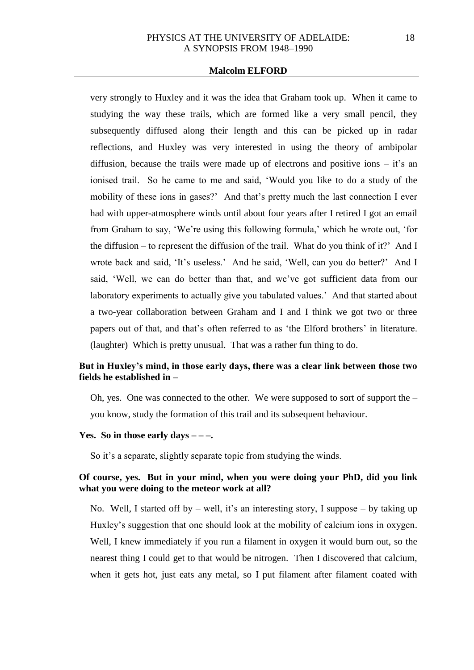very strongly to Huxley and it was the idea that Graham took up. When it came to studying the way these trails, which are formed like a very small pencil, they subsequently diffused along their length and this can be picked up in radar reflections, and Huxley was very interested in using the theory of ambipolar diffusion, because the trails were made up of electrons and positive ions  $-$  it's an ionised trail. So he came to me and said, 'Would you like to do a study of the mobility of these ions in gases?' And that's pretty much the last connection I ever had with upper-atmosphere winds until about four years after I retired I got an email from Graham to say, 'We're using this following formula,' which he wrote out, 'for the diffusion – to represent the diffusion of the trail. What do you think of it?' And I wrote back and said, 'It's useless.' And he said, 'Well, can you do better?' And I said, 'Well, we can do better than that, and we've got sufficient data from our laboratory experiments to actually give you tabulated values.' And that started about a two-year collaboration between Graham and I and I think we got two or three papers out of that, and that's often referred to as 'the Elford brothers' in literature. (laughter) Which is pretty unusual. That was a rather fun thing to do.

# **But in Huxley's mind, in those early days, there was a clear link between those two fields he established in –**

Oh, yes. One was connected to the other. We were supposed to sort of support the – you know, study the formation of this trail and its subsequent behaviour.

# **Yes. So in those early days – – –.**

So it's a separate, slightly separate topic from studying the winds.

# **Of course, yes. But in your mind, when you were doing your PhD, did you link what you were doing to the meteor work at all?**

No. Well, I started off by  $-$  well, it's an interesting story, I suppose  $-$  by taking up Huxley's suggestion that one should look at the mobility of calcium ions in oxygen. Well, I knew immediately if you run a filament in oxygen it would burn out, so the nearest thing I could get to that would be nitrogen. Then I discovered that calcium, when it gets hot, just eats any metal, so I put filament after filament coated with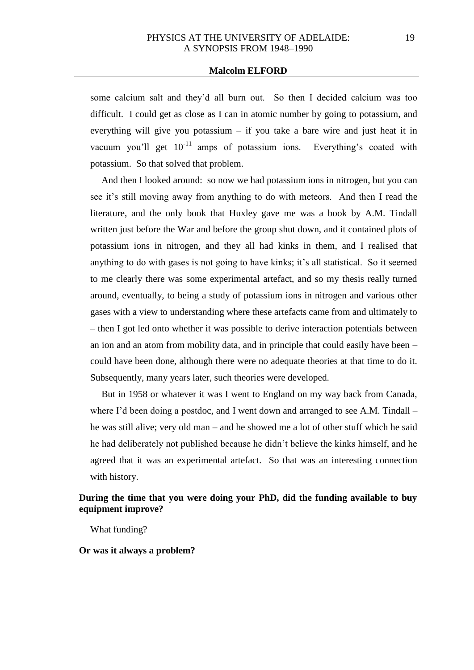some calcium salt and they'd all burn out. So then I decided calcium was too difficult. I could get as close as I can in atomic number by going to potassium, and everything will give you potassium  $-$  if you take a bare wire and just heat it in vacuum you'll get  $10^{-11}$  amps of potassium ions. Everything's coated with potassium. So that solved that problem.

And then I looked around: so now we had potassium ions in nitrogen, but you can see it's still moving away from anything to do with meteors. And then I read the literature, and the only book that Huxley gave me was a book by A.M. Tindall written just before the War and before the group shut down, and it contained plots of potassium ions in nitrogen, and they all had kinks in them, and I realised that anything to do with gases is not going to have kinks; it's all statistical. So it seemed to me clearly there was some experimental artefact, and so my thesis really turned around, eventually, to being a study of potassium ions in nitrogen and various other gases with a view to understanding where these artefacts came from and ultimately to – then I got led onto whether it was possible to derive interaction potentials between an ion and an atom from mobility data, and in principle that could easily have been – could have been done, although there were no adequate theories at that time to do it. Subsequently, many years later, such theories were developed.

But in 1958 or whatever it was I went to England on my way back from Canada, where I'd been doing a postdoc, and I went down and arranged to see A.M. Tindall  $$ he was still alive; very old man – and he showed me a lot of other stuff which he said he had deliberately not published because he didn't believe the kinks himself, and he agreed that it was an experimental artefact. So that was an interesting connection with history.

# **During the time that you were doing your PhD, did the funding available to buy equipment improve?**

What funding?

**Or was it always a problem?**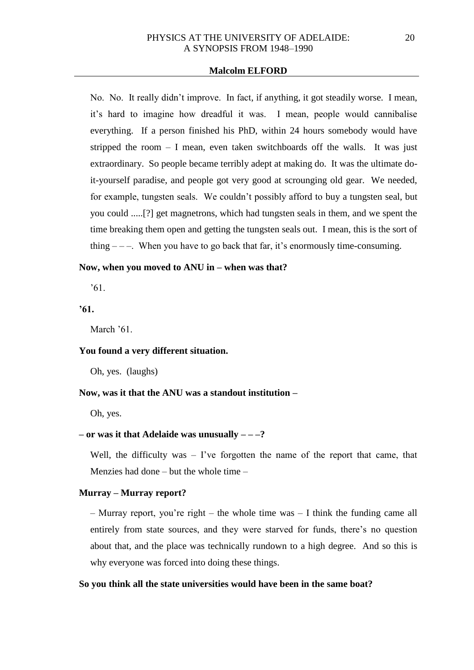No. No. It really didn't improve. In fact, if anything, it got steadily worse. I mean, it's hard to imagine how dreadful it was. I mean, people would cannibalise everything. If a person finished his PhD, within 24 hours somebody would have stripped the room  $- I$  mean, even taken switchboards off the walls. It was just extraordinary. So people became terribly adept at making do. It was the ultimate doit-yourself paradise, and people got very good at scrounging old gear. We needed, for example, tungsten seals. We couldn't possibly afford to buy a tungsten seal, but you could .....[?] get magnetrons, which had tungsten seals in them, and we spent the time breaking them open and getting the tungsten seals out. I mean, this is the sort of thing  $---$ . When you have to go back that far, it's enormously time-consuming.

# **Now, when you moved to ANU in – when was that?**

'61.

# **'61.**

March '61.

#### **You found a very different situation.**

Oh, yes. (laughs)

#### **Now, was it that the ANU was a standout institution –**

Oh, yes.

# **– or was it that Adelaide was unusually – – –?**

Well, the difficulty was – I've forgotten the name of the report that came, that Menzies had done – but the whole time –

### **Murray – Murray report?**

– Murray report, you're right – the whole time was – I think the funding came all entirely from state sources, and they were starved for funds, there's no question about that, and the place was technically rundown to a high degree. And so this is why everyone was forced into doing these things.

# **So you think all the state universities would have been in the same boat?**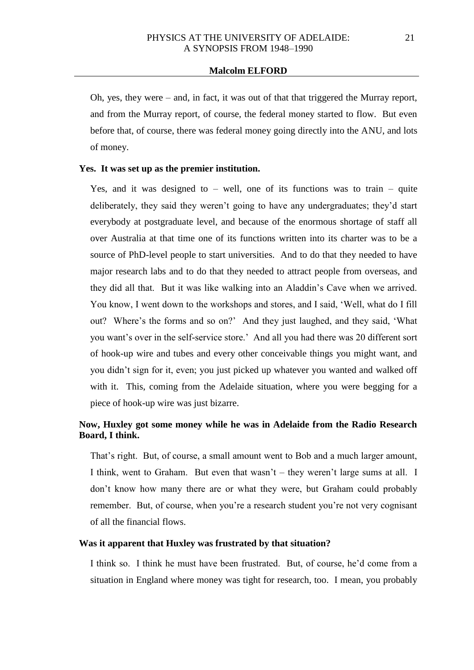Oh, yes, they were – and, in fact, it was out of that that triggered the Murray report, and from the Murray report, of course, the federal money started to flow. But even before that, of course, there was federal money going directly into the ANU, and lots of money.

### **Yes. It was set up as the premier institution.**

Yes, and it was designed to  $-$  well, one of its functions was to train  $-$  quite deliberately, they said they weren't going to have any undergraduates; they'd start everybody at postgraduate level, and because of the enormous shortage of staff all over Australia at that time one of its functions written into its charter was to be a source of PhD-level people to start universities. And to do that they needed to have major research labs and to do that they needed to attract people from overseas, and they did all that. But it was like walking into an Aladdin's Cave when we arrived. You know, I went down to the workshops and stores, and I said, 'Well, what do I fill out? Where's the forms and so on?' And they just laughed, and they said, 'What you want's over in the self-service store.' And all you had there was 20 different sort of hook-up wire and tubes and every other conceivable things you might want, and you didn't sign for it, even; you just picked up whatever you wanted and walked off with it. This, coming from the Adelaide situation, where you were begging for a piece of hook-up wire was just bizarre.

# **Now, Huxley got some money while he was in Adelaide from the Radio Research Board, I think.**

That's right. But, of course, a small amount went to Bob and a much larger amount, I think, went to Graham. But even that wasn't – they weren't large sums at all. I don't know how many there are or what they were, but Graham could probably remember. But, of course, when you're a research student you're not very cognisant of all the financial flows.

### **Was it apparent that Huxley was frustrated by that situation?**

I think so. I think he must have been frustrated. But, of course, he'd come from a situation in England where money was tight for research, too. I mean, you probably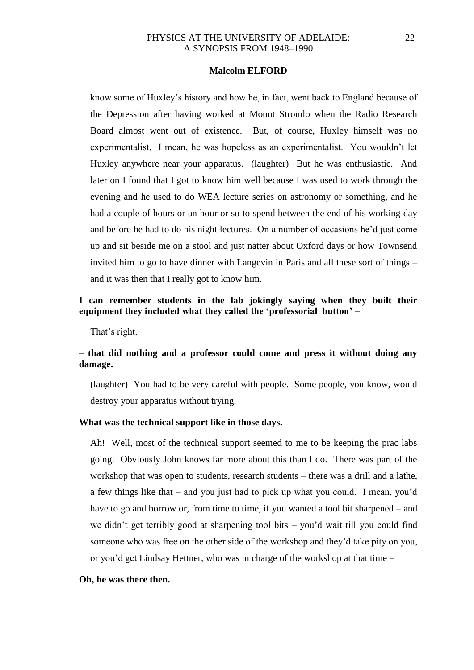know some of Huxley's history and how he, in fact, went back to England because of the Depression after having worked at Mount Stromlo when the Radio Research Board almost went out of existence. But, of course, Huxley himself was no experimentalist. I mean, he was hopeless as an experimentalist. You wouldn't let Huxley anywhere near your apparatus. (laughter) But he was enthusiastic. And later on I found that I got to know him well because I was used to work through the evening and he used to do WEA lecture series on astronomy or something, and he had a couple of hours or an hour or so to spend between the end of his working day and before he had to do his night lectures. On a number of occasions he'd just come up and sit beside me on a stool and just natter about Oxford days or how Townsend invited him to go to have dinner with Langevin in Paris and all these sort of things – and it was then that I really got to know him.

# **I can remember students in the lab jokingly saying when they built their equipment they included what they called the 'professorial button' –**

That's right.

# **– that did nothing and a professor could come and press it without doing any damage.**

(laughter) You had to be very careful with people. Some people, you know, would destroy your apparatus without trying.

# **What was the technical support like in those days.**

Ah! Well, most of the technical support seemed to me to be keeping the prac labs going. Obviously John knows far more about this than I do. There was part of the workshop that was open to students, research students – there was a drill and a lathe, a few things like that – and you just had to pick up what you could. I mean, you'd have to go and borrow or, from time to time, if you wanted a tool bit sharpened – and we didn't get terribly good at sharpening tool bits – you'd wait till you could find someone who was free on the other side of the workshop and they'd take pity on you, or you'd get Lindsay Hettner, who was in charge of the workshop at that time –

#### **Oh, he was there then.**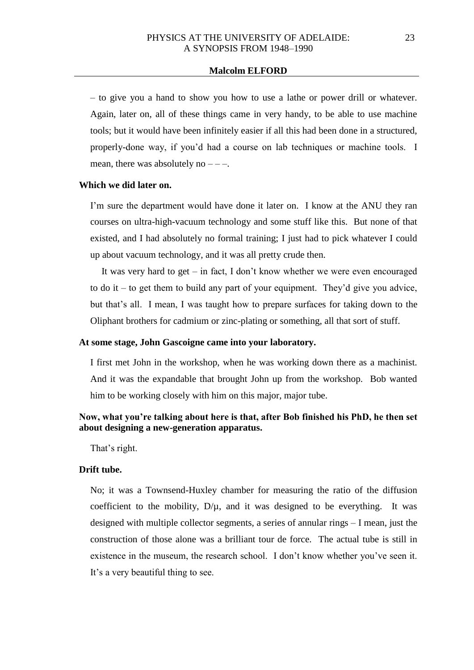– to give you a hand to show you how to use a lathe or power drill or whatever. Again, later on, all of these things came in very handy, to be able to use machine tools; but it would have been infinitely easier if all this had been done in a structured, properly-done way, if you'd had a course on lab techniques or machine tools. I mean, there was absolutely no  $---$ .

### **Which we did later on.**

I'm sure the department would have done it later on. I know at the ANU they ran courses on ultra-high-vacuum technology and some stuff like this. But none of that existed, and I had absolutely no formal training; I just had to pick whatever I could up about vacuum technology, and it was all pretty crude then.

It was very hard to get – in fact, I don't know whether we were even encouraged to do it – to get them to build any part of your equipment. They'd give you advice, but that's all. I mean, I was taught how to prepare surfaces for taking down to the Oliphant brothers for cadmium or zinc-plating or something, all that sort of stuff.

#### **At some stage, John Gascoigne came into your laboratory.**

I first met John in the workshop, when he was working down there as a machinist. And it was the expandable that brought John up from the workshop. Bob wanted him to be working closely with him on this major, major tube.

# **Now, what you're talking about here is that, after Bob finished his PhD, he then set about designing a new-generation apparatus.**

That's right.

# **Drift tube.**

No; it was a Townsend-Huxley chamber for measuring the ratio of the diffusion coefficient to the mobility,  $D/\mu$ , and it was designed to be everything. It was designed with multiple collector segments, a series of annular rings – I mean, just the construction of those alone was a brilliant tour de force. The actual tube is still in existence in the museum, the research school. I don't know whether you've seen it. It's a very beautiful thing to see.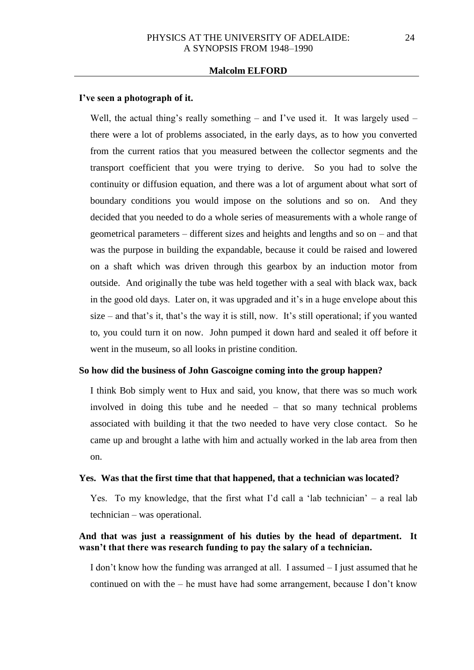#### **I've seen a photograph of it.**

Well, the actual thing's really something – and I've used it. It was largely used – there were a lot of problems associated, in the early days, as to how you converted from the current ratios that you measured between the collector segments and the transport coefficient that you were trying to derive. So you had to solve the continuity or diffusion equation, and there was a lot of argument about what sort of boundary conditions you would impose on the solutions and so on. And they decided that you needed to do a whole series of measurements with a whole range of geometrical parameters – different sizes and heights and lengths and so on – and that was the purpose in building the expandable, because it could be raised and lowered on a shaft which was driven through this gearbox by an induction motor from outside. And originally the tube was held together with a seal with black wax, back in the good old days. Later on, it was upgraded and it's in a huge envelope about this size – and that's it, that's the way it is still, now. It's still operational; if you wanted to, you could turn it on now. John pumped it down hard and sealed it off before it went in the museum, so all looks in pristine condition.

#### **So how did the business of John Gascoigne coming into the group happen?**

I think Bob simply went to Hux and said, you know, that there was so much work involved in doing this tube and he needed – that so many technical problems associated with building it that the two needed to have very close contact. So he came up and brought a lathe with him and actually worked in the lab area from then on.

#### **Yes. Was that the first time that that happened, that a technician was located?**

Yes. To my knowledge, that the first what I'd call a 'lab technician' – a real lab technician – was operational.

# **And that was just a reassignment of his duties by the head of department. It wasn't that there was research funding to pay the salary of a technician.**

I don't know how the funding was arranged at all. I assumed – I just assumed that he continued on with the – he must have had some arrangement, because I don't know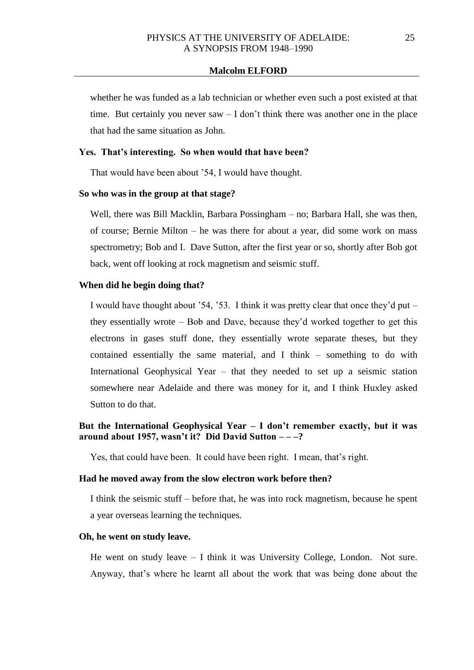whether he was funded as a lab technician or whether even such a post existed at that time. But certainly you never saw – I don't think there was another one in the place that had the same situation as John.

# **Yes. That's interesting. So when would that have been?**

That would have been about '54, I would have thought.

#### **So who was in the group at that stage?**

Well, there was Bill Macklin, Barbara Possingham – no; Barbara Hall, she was then, of course; Bernie Milton – he was there for about a year, did some work on mass spectrometry; Bob and I. Dave Sutton, after the first year or so, shortly after Bob got back, went off looking at rock magnetism and seismic stuff.

### **When did he begin doing that?**

I would have thought about '54, '53. I think it was pretty clear that once they'd put – they essentially wrote – Bob and Dave, because they'd worked together to get this electrons in gases stuff done, they essentially wrote separate theses, but they contained essentially the same material, and I think – something to do with International Geophysical Year – that they needed to set up a seismic station somewhere near Adelaide and there was money for it, and I think Huxley asked Sutton to do that.

# **But the International Geophysical Year – I don't remember exactly, but it was around about 1957, wasn't it? Did David Sutton – – –?**

Yes, that could have been. It could have been right. I mean, that's right.

#### **Had he moved away from the slow electron work before then?**

I think the seismic stuff – before that, he was into rock magnetism, because he spent a year overseas learning the techniques.

### **Oh, he went on study leave.**

He went on study leave – I think it was University College, London. Not sure. Anyway, that's where he learnt all about the work that was being done about the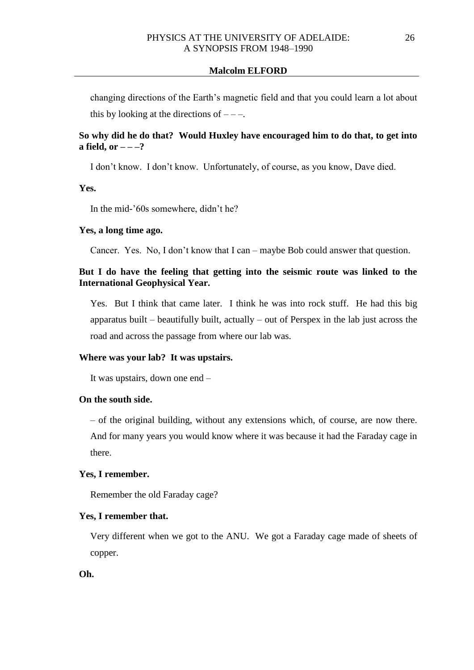changing directions of the Earth's magnetic field and that you could learn a lot about this by looking at the directions of  $---$ .

# **So why did he do that? Would Huxley have encouraged him to do that, to get into**  a field, or  $---?$

I don't know. I don't know. Unfortunately, of course, as you know, Dave died.

**Yes.** 

In the mid-'60s somewhere, didn't he?

### **Yes, a long time ago.**

Cancer. Yes. No, I don't know that I can – maybe Bob could answer that question.

# **But I do have the feeling that getting into the seismic route was linked to the International Geophysical Year.**

Yes. But I think that came later. I think he was into rock stuff. He had this big apparatus built – beautifully built, actually – out of Perspex in the lab just across the road and across the passage from where our lab was.

### **Where was your lab? It was upstairs.**

It was upstairs, down one end –

# **On the south side.**

– of the original building, without any extensions which, of course, are now there. And for many years you would know where it was because it had the Faraday cage in there.

### **Yes, I remember.**

Remember the old Faraday cage?

#### **Yes, I remember that.**

Very different when we got to the ANU. We got a Faraday cage made of sheets of copper.

**Oh.**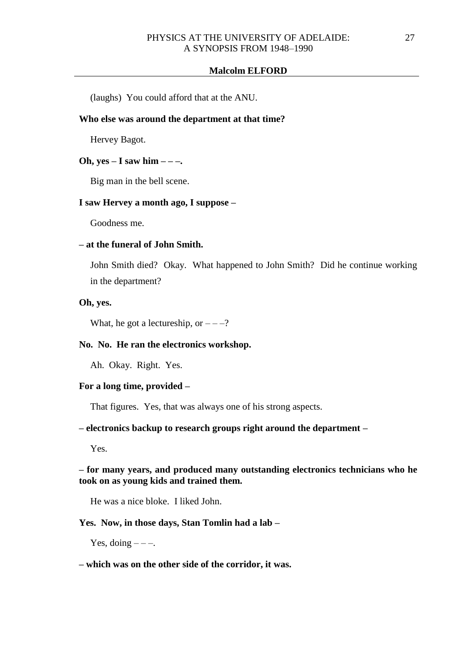(laughs) You could afford that at the ANU.

# **Who else was around the department at that time?**

Hervey Bagot.

### **Oh, yes – I saw him – – –.**

Big man in the bell scene.

#### **I saw Hervey a month ago, I suppose –**

Goodness me.

# **– at the funeral of John Smith.**

John Smith died? Okay. What happened to John Smith? Did he continue working in the department?

#### **Oh, yes.**

What, he got a lectureship, or  $---?$ 

# **No. No. He ran the electronics workshop.**

Ah. Okay. Right. Yes.

### **For a long time, provided –**

That figures. Yes, that was always one of his strong aspects.

### **– electronics backup to research groups right around the department –**

Yes.

# **– for many years, and produced many outstanding electronics technicians who he took on as young kids and trained them.**

He was a nice bloke. I liked John.

#### **Yes. Now, in those days, Stan Tomlin had a lab –**

Yes, doing  $---$ .

### **– which was on the other side of the corridor, it was.**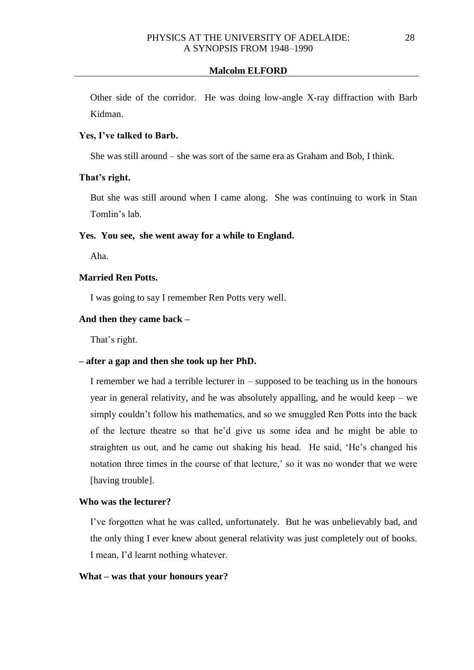Other side of the corridor. He was doing low-angle X-ray diffraction with Barb Kidman.

# **Yes, I've talked to Barb.**

She was still around – she was sort of the same era as Graham and Bob, I think.

### **That's right.**

But she was still around when I came along. She was continuing to work in Stan Tomlin's lab.

## **Yes. You see, she went away for a while to England.**

Aha.

# **Married Ren Potts.**

I was going to say I remember Ren Potts very well.

### **And then they came back –**

That's right.

# **– after a gap and then she took up her PhD.**

I remember we had a terrible lecturer in – supposed to be teaching us in the honours year in general relativity, and he was absolutely appalling, and he would keep – we simply couldn't follow his mathematics, and so we smuggled Ren Potts into the back of the lecture theatre so that he'd give us some idea and he might be able to straighten us out, and he came out shaking his head. He said, 'He's changed his notation three times in the course of that lecture,' so it was no wonder that we were [having trouble].

# **Who was the lecturer?**

I've forgotten what he was called, unfortunately. But he was unbelievably bad, and the only thing I ever knew about general relativity was just completely out of books. I mean, I'd learnt nothing whatever.

#### **What – was that your honours year?**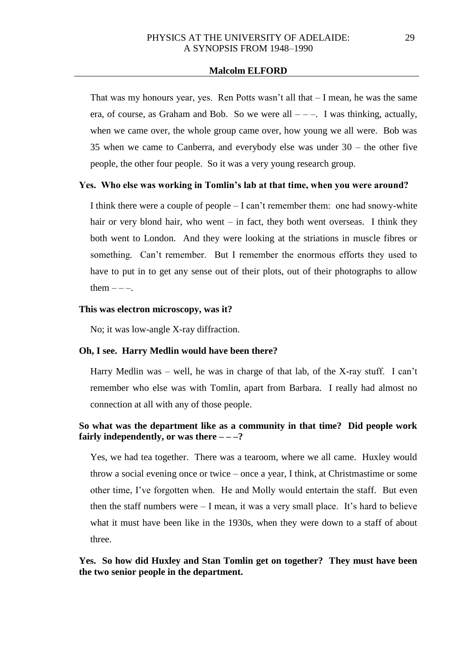That was my honours year, yes. Ren Potts wasn't all that – I mean, he was the same era, of course, as Graham and Bob. So we were all  $---$ . I was thinking, actually, when we came over, the whole group came over, how young we all were. Bob was 35 when we came to Canberra, and everybody else was under 30 – the other five people, the other four people. So it was a very young research group.

#### **Yes. Who else was working in Tomlin's lab at that time, when you were around?**

I think there were a couple of people – I can't remember them: one had snowy-white hair or very blond hair, who went – in fact, they both went overseas. I think they both went to London. And they were looking at the striations in muscle fibres or something. Can't remember. But I remember the enormous efforts they used to have to put in to get any sense out of their plots, out of their photographs to allow them  $---$ .

### **This was electron microscopy, was it?**

No; it was low-angle X-ray diffraction.

#### **Oh, I see. Harry Medlin would have been there?**

Harry Medlin was – well, he was in charge of that lab, of the X-ray stuff. I can't remember who else was with Tomlin, apart from Barbara. I really had almost no connection at all with any of those people.

# **So what was the department like as a community in that time? Did people work fairly independently, or was there**  $---?$

Yes, we had tea together. There was a tearoom, where we all came. Huxley would throw a social evening once or twice – once a year, I think, at Christmastime or some other time, I've forgotten when. He and Molly would entertain the staff. But even then the staff numbers were  $- I$  mean, it was a very small place. It's hard to believe what it must have been like in the 1930s, when they were down to a staff of about three.

# **Yes. So how did Huxley and Stan Tomlin get on together? They must have been the two senior people in the department.**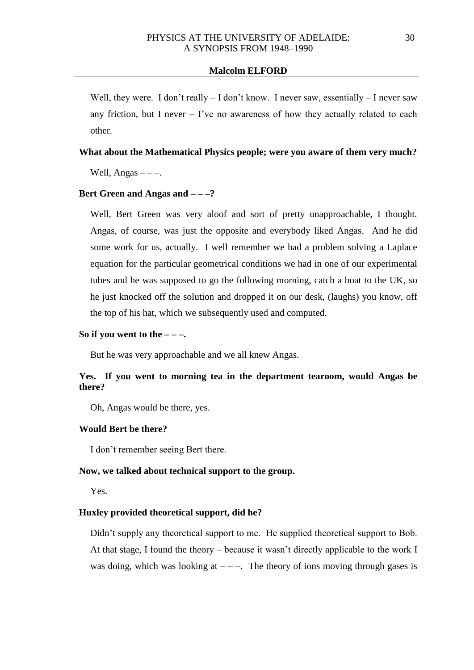Well, they were. I don't really – I don't know. I never saw, essentially – I never saw any friction, but I never  $-$  I've no awareness of how they actually related to each other.

### **What about the Mathematical Physics people; were you aware of them very much?**

Well, Angas  $---$ .

#### **Bert Green and Angas and – – –?**

Well, Bert Green was very aloof and sort of pretty unapproachable, I thought. Angas, of course, was just the opposite and everybody liked Angas. And he did some work for us, actually. I well remember we had a problem solving a Laplace equation for the particular geometrical conditions we had in one of our experimental tubes and he was supposed to go the following morning, catch a boat to the UK, so he just knocked off the solution and dropped it on our desk, (laughs) you know, off the top of his hat, which we subsequently used and computed.

# So if you went to the  $---$

But he was very approachable and we all knew Angas.

# **Yes. If you went to morning tea in the department tearoom, would Angas be there?**

Oh, Angas would be there, yes.

#### **Would Bert be there?**

I don't remember seeing Bert there.

#### **Now, we talked about technical support to the group.**

Yes.

# **Huxley provided theoretical support, did he?**

Didn't supply any theoretical support to me. He supplied theoretical support to Bob. At that stage, I found the theory – because it wasn't directly applicable to the work I was doing, which was looking at  $---$ . The theory of ions moving through gases is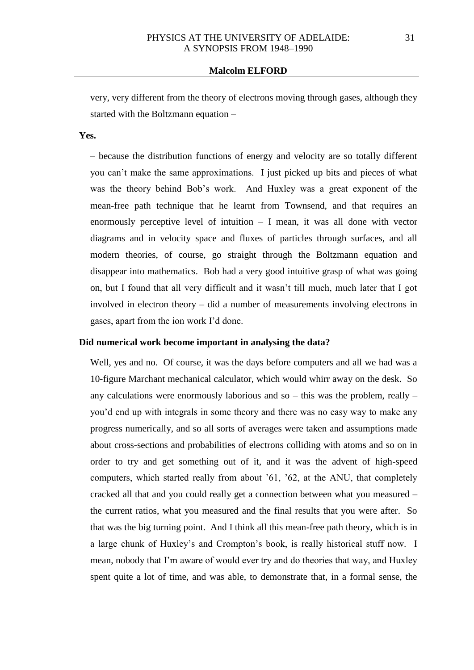very, very different from the theory of electrons moving through gases, although they started with the Boltzmann equation –

# **Yes.**

– because the distribution functions of energy and velocity are so totally different you can't make the same approximations. I just picked up bits and pieces of what was the theory behind Bob's work. And Huxley was a great exponent of the mean-free path technique that he learnt from Townsend, and that requires an enormously perceptive level of intuition  $-$  I mean, it was all done with vector diagrams and in velocity space and fluxes of particles through surfaces, and all modern theories, of course, go straight through the Boltzmann equation and disappear into mathematics. Bob had a very good intuitive grasp of what was going on, but I found that all very difficult and it wasn't till much, much later that I got involved in electron theory – did a number of measurements involving electrons in gases, apart from the ion work I'd done.

### **Did numerical work become important in analysing the data?**

Well, yes and no. Of course, it was the days before computers and all we had was a 10-figure Marchant mechanical calculator, which would whirr away on the desk. So any calculations were enormously laborious and so – this was the problem, really – you'd end up with integrals in some theory and there was no easy way to make any progress numerically, and so all sorts of averages were taken and assumptions made about cross-sections and probabilities of electrons colliding with atoms and so on in order to try and get something out of it, and it was the advent of high-speed computers, which started really from about '61, '62, at the ANU, that completely cracked all that and you could really get a connection between what you measured – the current ratios, what you measured and the final results that you were after. So that was the big turning point. And I think all this mean-free path theory, which is in a large chunk of Huxley's and Crompton's book, is really historical stuff now. I mean, nobody that I'm aware of would ever try and do theories that way, and Huxley spent quite a lot of time, and was able, to demonstrate that, in a formal sense, the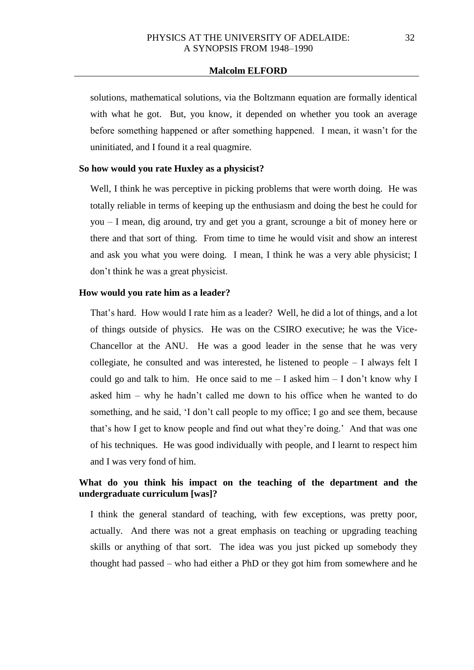solutions, mathematical solutions, via the Boltzmann equation are formally identical with what he got. But, you know, it depended on whether you took an average before something happened or after something happened. I mean, it wasn't for the uninitiated, and I found it a real quagmire.

### **So how would you rate Huxley as a physicist?**

Well, I think he was perceptive in picking problems that were worth doing. He was totally reliable in terms of keeping up the enthusiasm and doing the best he could for you – I mean, dig around, try and get you a grant, scrounge a bit of money here or there and that sort of thing. From time to time he would visit and show an interest and ask you what you were doing. I mean, I think he was a very able physicist; I don't think he was a great physicist.

#### **How would you rate him as a leader?**

That's hard. How would I rate him as a leader? Well, he did a lot of things, and a lot of things outside of physics. He was on the CSIRO executive; he was the Vice-Chancellor at the ANU. He was a good leader in the sense that he was very collegiate, he consulted and was interested, he listened to people – I always felt I could go and talk to him. He once said to me  $-$  I asked him  $-$  I don't know why I asked him – why he hadn't called me down to his office when he wanted to do something, and he said, 'I don't call people to my office; I go and see them, because that's how I get to know people and find out what they're doing.' And that was one of his techniques. He was good individually with people, and I learnt to respect him and I was very fond of him.

# **What do you think his impact on the teaching of the department and the undergraduate curriculum [was]?**

I think the general standard of teaching, with few exceptions, was pretty poor, actually. And there was not a great emphasis on teaching or upgrading teaching skills or anything of that sort. The idea was you just picked up somebody they thought had passed – who had either a PhD or they got him from somewhere and he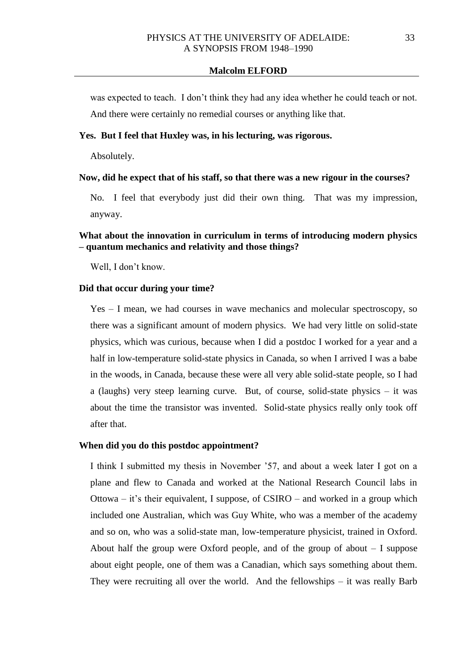was expected to teach. I don't think they had any idea whether he could teach or not. And there were certainly no remedial courses or anything like that.

# **Yes. But I feel that Huxley was, in his lecturing, was rigorous.**

Absolutely.

#### **Now, did he expect that of his staff, so that there was a new rigour in the courses?**

No. I feel that everybody just did their own thing. That was my impression, anyway.

# **What about the innovation in curriculum in terms of introducing modern physics – quantum mechanics and relativity and those things?**

Well, I don't know.

# **Did that occur during your time?**

Yes – I mean, we had courses in wave mechanics and molecular spectroscopy, so there was a significant amount of modern physics. We had very little on solid-state physics, which was curious, because when I did a postdoc I worked for a year and a half in low-temperature solid-state physics in Canada, so when I arrived I was a babe in the woods, in Canada, because these were all very able solid-state people, so I had a (laughs) very steep learning curve. But, of course, solid-state physics – it was about the time the transistor was invented. Solid-state physics really only took off after that.

#### **When did you do this postdoc appointment?**

I think I submitted my thesis in November '57, and about a week later I got on a plane and flew to Canada and worked at the National Research Council labs in Ottowa – it's their equivalent, I suppose, of CSIRO – and worked in a group which included one Australian, which was Guy White, who was a member of the academy and so on, who was a solid-state man, low-temperature physicist, trained in Oxford. About half the group were Oxford people, and of the group of about  $-1$  suppose about eight people, one of them was a Canadian, which says something about them. They were recruiting all over the world. And the fellowships – it was really Barb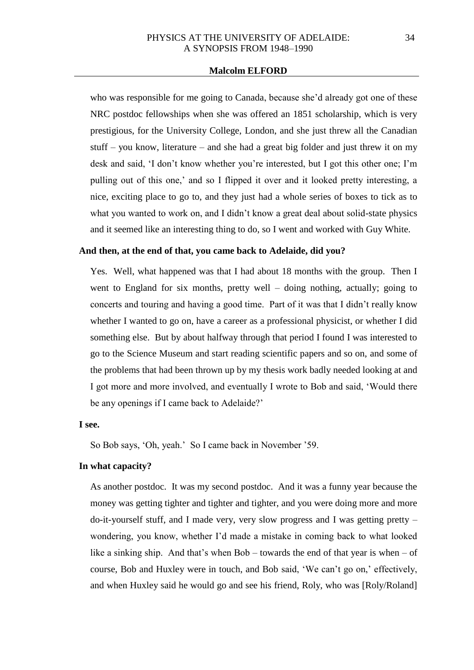who was responsible for me going to Canada, because she'd already got one of these NRC postdoc fellowships when she was offered an 1851 scholarship, which is very prestigious, for the University College, London, and she just threw all the Canadian stuff – you know, literature – and she had a great big folder and just threw it on my desk and said, 'I don't know whether you're interested, but I got this other one; I'm pulling out of this one,' and so I flipped it over and it looked pretty interesting, a nice, exciting place to go to, and they just had a whole series of boxes to tick as to what you wanted to work on, and I didn't know a great deal about solid-state physics and it seemed like an interesting thing to do, so I went and worked with Guy White.

# **And then, at the end of that, you came back to Adelaide, did you?**

Yes. Well, what happened was that I had about 18 months with the group. Then I went to England for six months, pretty well – doing nothing, actually; going to concerts and touring and having a good time. Part of it was that I didn't really know whether I wanted to go on, have a career as a professional physicist, or whether I did something else. But by about halfway through that period I found I was interested to go to the Science Museum and start reading scientific papers and so on, and some of the problems that had been thrown up by my thesis work badly needed looking at and I got more and more involved, and eventually I wrote to Bob and said, 'Would there be any openings if I came back to Adelaide?'

### **I see.**

So Bob says, 'Oh, yeah.' So I came back in November '59.

#### **In what capacity?**

As another postdoc. It was my second postdoc. And it was a funny year because the money was getting tighter and tighter and tighter, and you were doing more and more do-it-yourself stuff, and I made very, very slow progress and I was getting pretty – wondering, you know, whether I'd made a mistake in coming back to what looked like a sinking ship. And that's when Bob – towards the end of that year is when – of course, Bob and Huxley were in touch, and Bob said, 'We can't go on,' effectively, and when Huxley said he would go and see his friend, Roly, who was [Roly/Roland]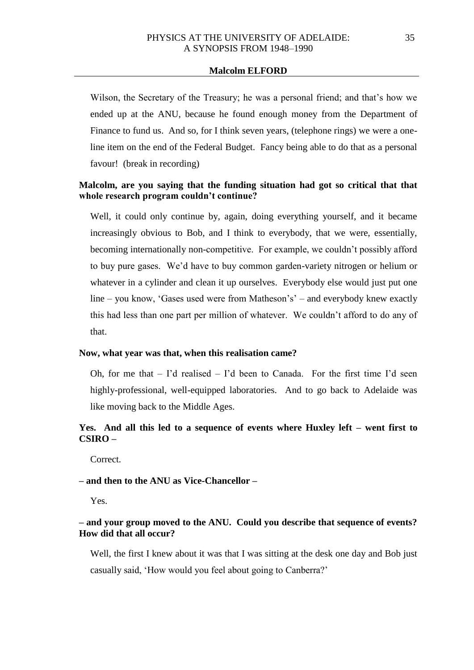Wilson, the Secretary of the Treasury; he was a personal friend; and that's how we ended up at the ANU, because he found enough money from the Department of Finance to fund us. And so, for I think seven years, (telephone rings) we were a oneline item on the end of the Federal Budget. Fancy being able to do that as a personal favour! (break in recording)

# **Malcolm, are you saying that the funding situation had got so critical that that whole research program couldn't continue?**

Well, it could only continue by, again, doing everything yourself, and it became increasingly obvious to Bob, and I think to everybody, that we were, essentially, becoming internationally non-competitive. For example, we couldn't possibly afford to buy pure gases. We'd have to buy common garden-variety nitrogen or helium or whatever in a cylinder and clean it up ourselves. Everybody else would just put one line – you know, 'Gases used were from Matheson's' – and everybody knew exactly this had less than one part per million of whatever. We couldn't afford to do any of that.

#### **Now, what year was that, when this realisation came?**

Oh, for me that  $-$  I'd realised  $-$  I'd been to Canada. For the first time I'd seen highly-professional, well-equipped laboratories. And to go back to Adelaide was like moving back to the Middle Ages.

# **Yes. And all this led to a sequence of events where Huxley left – went first to CSIRO –**

Correct.

# **– and then to the ANU as Vice-Chancellor –**

Yes.

# **– and your group moved to the ANU. Could you describe that sequence of events? How did that all occur?**

Well, the first I knew about it was that I was sitting at the desk one day and Bob just casually said, 'How would you feel about going to Canberra?'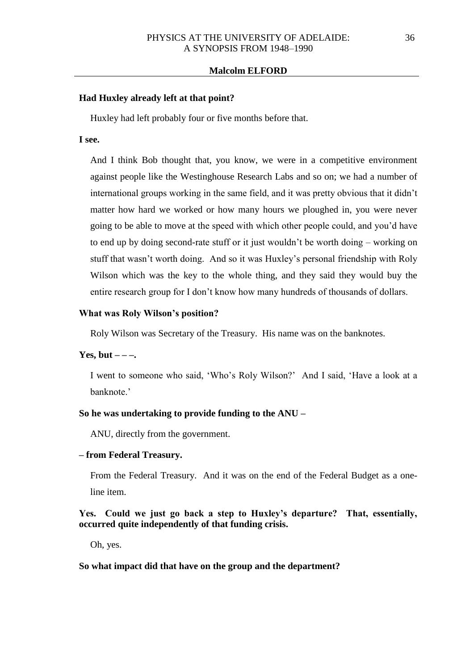#### **Had Huxley already left at that point?**

Huxley had left probably four or five months before that.

### **I see.**

And I think Bob thought that, you know, we were in a competitive environment against people like the Westinghouse Research Labs and so on; we had a number of international groups working in the same field, and it was pretty obvious that it didn't matter how hard we worked or how many hours we ploughed in, you were never going to be able to move at the speed with which other people could, and you'd have to end up by doing second-rate stuff or it just wouldn't be worth doing – working on stuff that wasn't worth doing. And so it was Huxley's personal friendship with Roly Wilson which was the key to the whole thing, and they said they would buy the entire research group for I don't know how many hundreds of thousands of dollars.

### **What was Roly Wilson's position?**

Roly Wilson was Secretary of the Treasury. His name was on the banknotes.

#### **Yes, but**  $-\frac{1}{2}$

I went to someone who said, 'Who's Roly Wilson?' And I said, 'Have a look at a banknote.'

#### **So he was undertaking to provide funding to the ANU –**

ANU, directly from the government.

#### **– from Federal Treasury.**

From the Federal Treasury. And it was on the end of the Federal Budget as a oneline item.

# **Yes. Could we just go back a step to Huxley's departure? That, essentially, occurred quite independently of that funding crisis.**

Oh, yes.

#### **So what impact did that have on the group and the department?**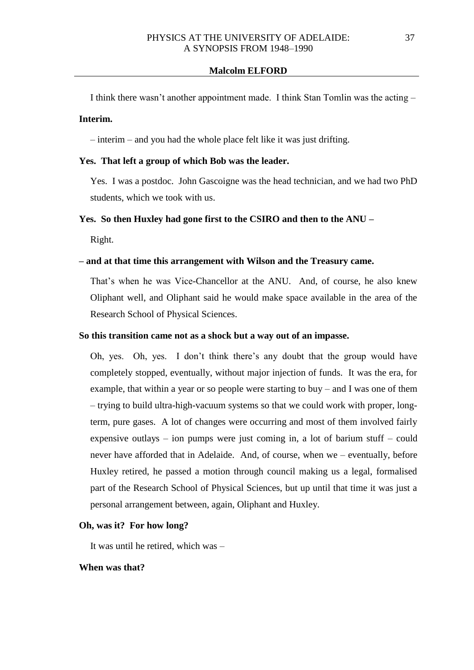I think there wasn't another appointment made. I think Stan Tomlin was the acting –

# **Interim.**

– interim – and you had the whole place felt like it was just drifting.

### **Yes. That left a group of which Bob was the leader.**

Yes. I was a postdoc. John Gascoigne was the head technician, and we had two PhD students, which we took with us.

### **Yes. So then Huxley had gone first to the CSIRO and then to the ANU –**

Right.

### **– and at that time this arrangement with Wilson and the Treasury came.**

That's when he was Vice-Chancellor at the ANU. And, of course, he also knew Oliphant well, and Oliphant said he would make space available in the area of the Research School of Physical Sciences.

### **So this transition came not as a shock but a way out of an impasse.**

Oh, yes. Oh, yes. I don't think there's any doubt that the group would have completely stopped, eventually, without major injection of funds. It was the era, for example, that within a year or so people were starting to buy – and I was one of them – trying to build ultra-high-vacuum systems so that we could work with proper, longterm, pure gases. A lot of changes were occurring and most of them involved fairly expensive outlays – ion pumps were just coming in, a lot of barium stuff – could never have afforded that in Adelaide. And, of course, when we – eventually, before Huxley retired, he passed a motion through council making us a legal, formalised part of the Research School of Physical Sciences, but up until that time it was just a personal arrangement between, again, Oliphant and Huxley.

#### **Oh, was it? For how long?**

It was until he retired, which was –

### **When was that?**